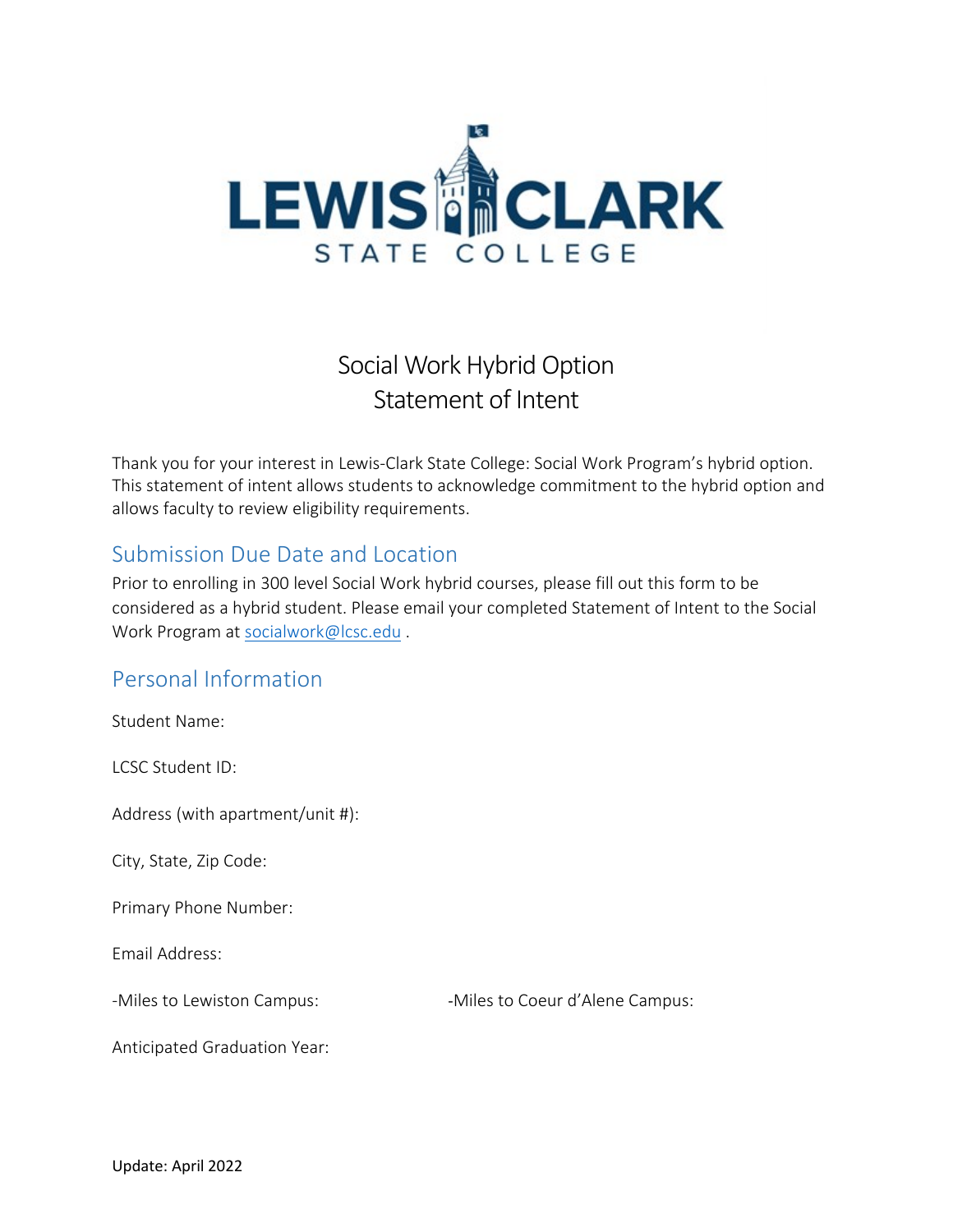

# Social Work Hybrid Option Statement of Intent

Thank you for your interest in Lewis-Clark State College: Social Work Program's hybrid option. This statement of intent allows students to acknowledge commitment to the hybrid option and allows faculty to review eligibility requirements.

## Submission Due Date and Location

Prior to enrolling in 300 level Social Work hybrid courses, please fill out this form to be considered as a hybrid student. Please email your completed Statement of Intent to the Social Work Program at [socialwork@lcsc.edu](mailto:socialwork@lcsc.edu).

## Personal Information

Student Name:

LCSC Student ID:

Address (with apartment/unit #):

City, State, Zip Code:

Primary Phone Number:

Email Address:

-Miles to Lewiston Campus:  $-$ Miles to Coeur d'Alene Campus:

Anticipated Graduation Year: